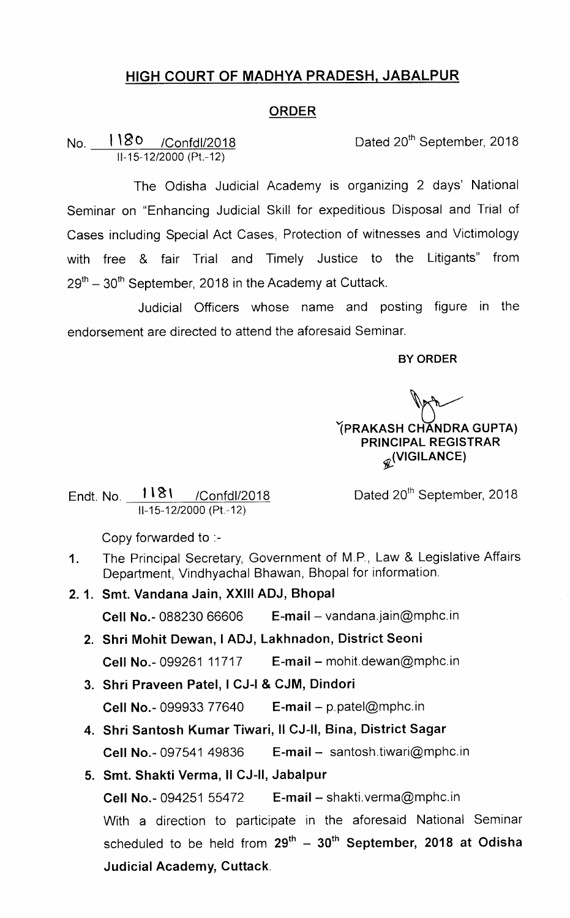## HIGH COURT OF MADHYA PRADESH, JABALPUR

## ORDER

No. 1180 /Confdl/2018 Dated 20<sup>th</sup> September, 2018 lI-15-12/2000 (Pt.-12)

The Odisha Judicial Academy is organizing 2 days' National Seminar on "Enhancing Judicial Skill for expeditious Disposal and Trial of Cases including Special Act Cases, Protection of witnesses and Victimology with free & fair Trial and Timely Justice to the Litigants" from  $29<sup>th</sup> - 30<sup>th</sup>$  September, 2018 in the Academy at Cuttack.

Judicial Officers whose name and posting figure in the endorsement are directed to attend the aforesaid Seminar.

BY ORDER

YPRAKASH CHANDRA GUPTA) PRINCIPAL REGISTRAR  $\mathscr{R}$ <sup>(VIGILANCE)</sup>

Endt. No. 1181 / Confdl/2018 ll-15-12/2000 (Pt.-12)

Dated 20<sup>th</sup> September, 2018

Copy forwarded to :-

- 1. The Principal Secretary, Government of M.P., Law & Legislative Affairs Department, Vindhyachal Bhawan, Bhopal for information.
- 2.1. Smt. Vandana Jain, XXIII ADJ, Bhopal Cell No.-088230 66606 E-mail - vandana.jain@mphc.in
	- 2. Shri Mohit Dewan, I ADJ, Lakhnadon, District Seoni Cell No.-099261 11717 E-mail - mohit.dewan@mphc.in
	- 3. Shri Praveen Patel, I CJ-I & CJM, Dindori **Cell No.-099933 77640 E-mail**  $-$  p.patel@mphc.in
	- 4. Shri Santosh Kumar Tiwari, Il CJ-II, Bina, District Sagar **Cell No.-097541 49836** E-mail - santosh.tiwari@mphc.in
	- 5. Smt. Shakti Verma, II CJ-II, Jabalpur **Cell No.-094251 55472** E-mail - shakti.verma@mphc.in With a direction to participate in the aforesaid National Seminar scheduled to be held from  $29^{th} - 30^{th}$  September, 2018 at Odisha Judicial Academy, Cuttack.